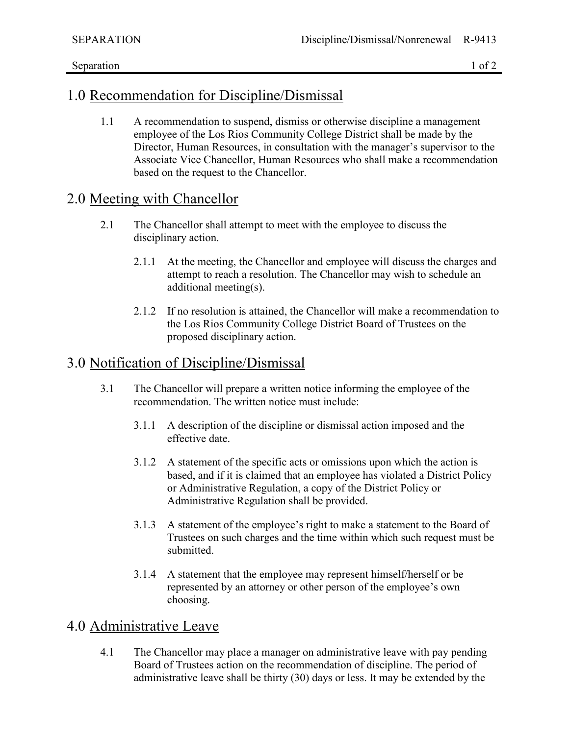### 1.0 Recommendation for Discipline/Dismissal

1.1 A recommendation to suspend, dismiss or otherwise discipline a management employee of the Los Rios Community College District shall be made by the Director, Human Resources, in consultation with the manager's supervisor to the Associate Vice Chancellor, Human Resources who shall make a recommendation based on the request to the Chancellor.

### 2.0 Meeting with Chancellor

- 2.1 The Chancellor shall attempt to meet with the employee to discuss the disciplinary action.
	- 2.1.1 At the meeting, the Chancellor and employee will discuss the charges and attempt to reach a resolution. The Chancellor may wish to schedule an additional meeting(s).
	- 2.1.2 If no resolution is attained, the Chancellor will make a recommendation to the Los Rios Community College District Board of Trustees on the proposed disciplinary action.

# 3.0 Notification of Discipline/Dismissal

- 3.1 The Chancellor will prepare a written notice informing the employee of the recommendation. The written notice must include:
	- 3.1.1 A description of the discipline or dismissal action imposed and the effective date.
	- 3.1.2 A statement of the specific acts or omissions upon which the action is based, and if it is claimed that an employee has violated a District Policy or Administrative Regulation, a copy of the District Policy or Administrative Regulation shall be provided.
	- 3.1.3 A statement of the employee's right to make a statement to the Board of Trustees on such charges and the time within which such request must be submitted.
	- 3.1.4 A statement that the employee may represent himself/herself or be represented by an attorney or other person of the employee's own choosing.

## 4.0 Administrative Leave

4.1 The Chancellor may place a manager on administrative leave with pay pending Board of Trustees action on the recommendation of discipline. The period of administrative leave shall be thirty (30) days or less. It may be extended by the